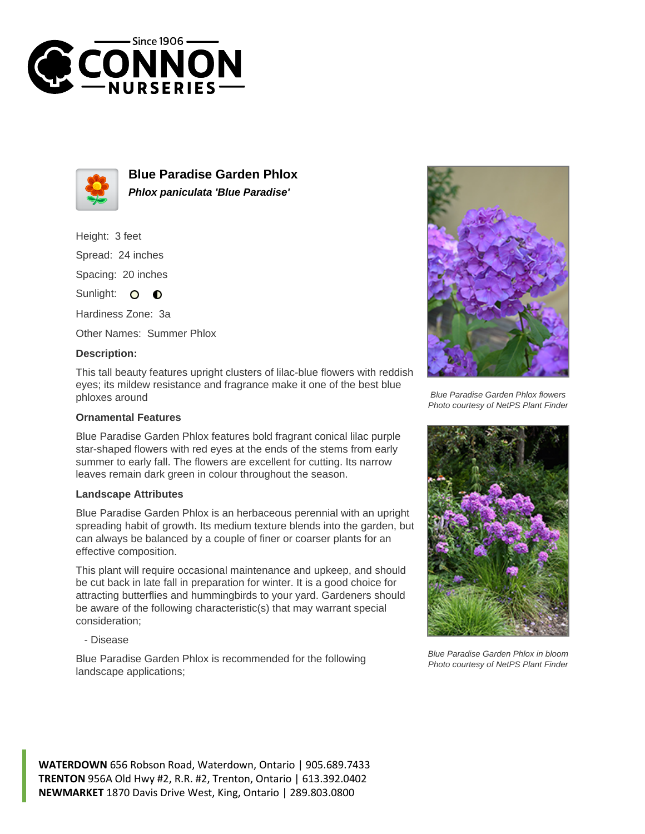



**Blue Paradise Garden Phlox Phlox paniculata 'Blue Paradise'**

Height: 3 feet Spread: 24 inches Spacing: 20 inches Sunlight: O **O** 

Hardiness Zone: 3a

Other Names: Summer Phlox

## **Description:**

This tall beauty features upright clusters of lilac-blue flowers with reddish eyes; its mildew resistance and fragrance make it one of the best blue phloxes around

## **Ornamental Features**

Blue Paradise Garden Phlox features bold fragrant conical lilac purple star-shaped flowers with red eyes at the ends of the stems from early summer to early fall. The flowers are excellent for cutting. Its narrow leaves remain dark green in colour throughout the season.

## **Landscape Attributes**

Blue Paradise Garden Phlox is an herbaceous perennial with an upright spreading habit of growth. Its medium texture blends into the garden, but can always be balanced by a couple of finer or coarser plants for an effective composition.

This plant will require occasional maintenance and upkeep, and should be cut back in late fall in preparation for winter. It is a good choice for attracting butterflies and hummingbirds to your yard. Gardeners should be aware of the following characteristic(s) that may warrant special consideration;

- Disease

Blue Paradise Garden Phlox is recommended for the following landscape applications;



Blue Paradise Garden Phlox flowers Photo courtesy of NetPS Plant Finder



Blue Paradise Garden Phlox in bloom Photo courtesy of NetPS Plant Finder